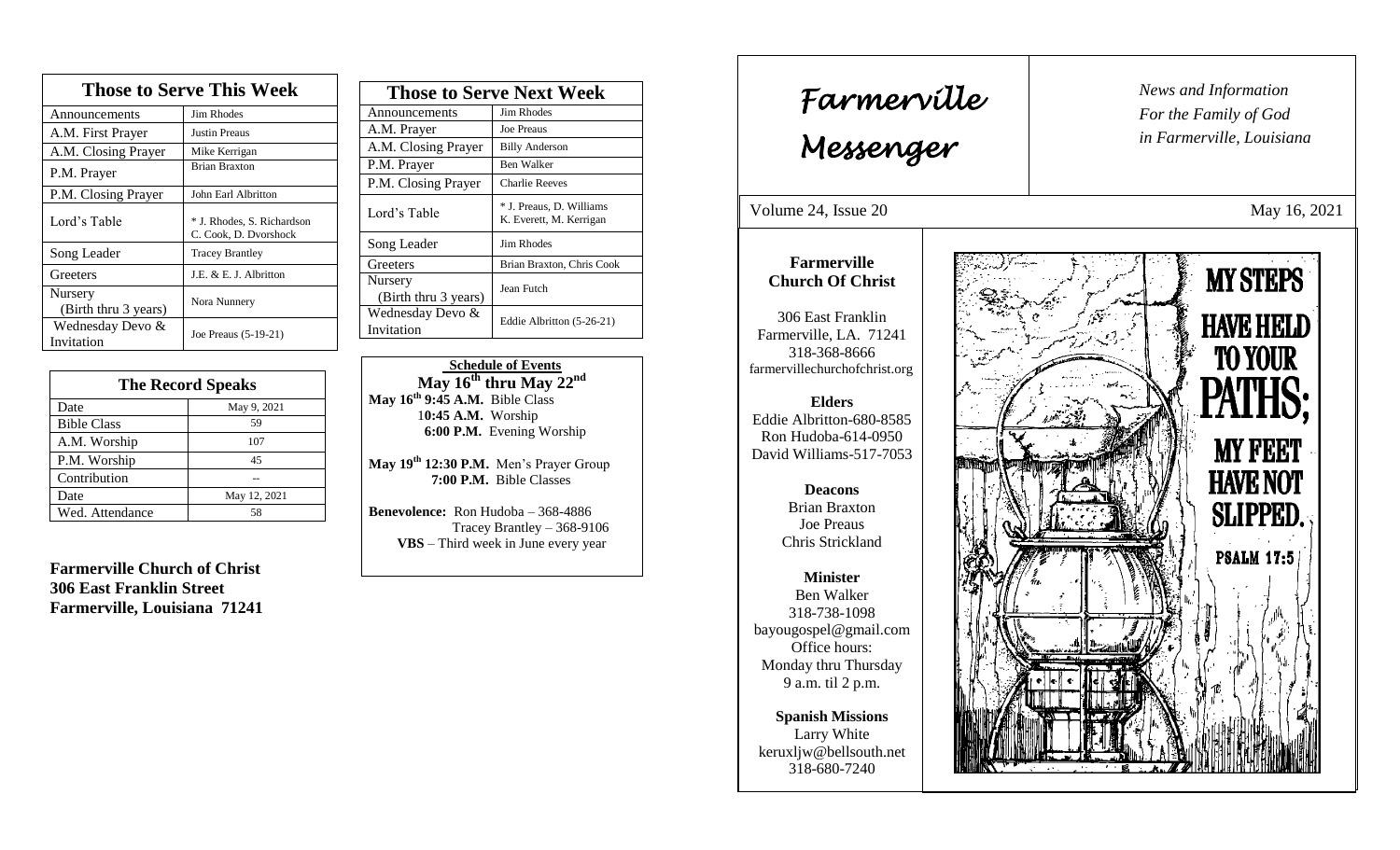| <b>Those to Serve This Week</b> |                                                     |  |
|---------------------------------|-----------------------------------------------------|--|
| Announcements                   | Jim Rhodes                                          |  |
| A.M. First Prayer               | Justin Preaus                                       |  |
| A.M. Closing Prayer             | Mike Kerrigan                                       |  |
| P.M. Prayer                     | <b>Brian Braxton</b>                                |  |
| P.M. Closing Prayer             | John Earl Albritton                                 |  |
| Lord's Table                    | * J. Rhodes, S. Richardson<br>C. Cook, D. Dvorshock |  |
| Song Leader                     | <b>Tracey Brantley</b>                              |  |
| Greeters                        | J.E. & E. J. Albritton                              |  |
| Nursery<br>(Birth thru 3 years) | Nora Nunnery                                        |  |
| Wednesday Devo &<br>Invitation  | Joe Preaus (5-19-21)                                |  |

| <b>The Record Speaks</b> |              |
|--------------------------|--------------|
| Date                     | May 9, 2021  |
| <b>Bible Class</b>       | 59           |
| A.M. Worship             | 107          |
| P.M. Worship             | 45           |
| Contribution             |              |
| Date                     | May 12, 2021 |
| Wed. Attendance          | 58           |

**Farmerville Church of Christ 306 East Franklin Street Farmerville, Louisiana 71241**

| <b>Those to Serve Next Week</b> |                                                     |
|---------------------------------|-----------------------------------------------------|
| Announcements                   | Jim Rhodes                                          |
| A.M. Prayer                     | <b>Joe Preaus</b>                                   |
| A.M. Closing Prayer             | <b>Billy Anderson</b>                               |
| P.M. Prayer                     | Ben Walker                                          |
| P.M. Closing Prayer             | <b>Charlie Reeves</b>                               |
| Lord's Table                    | * J. Preaus, D. Williams<br>K. Everett, M. Kerrigan |
| Song Leader                     | Jim Rhodes                                          |
| Greeters                        | Brian Braxton, Chris Cook                           |
| Nursery<br>(Birth thru 3 years) | Jean Futch                                          |
| Wednesday Devo &<br>Invitation  | Eddie Albritton (5-26-21)                           |

 **Schedule of Events**  $\overline{\text{May }16^{\text{th}}}$  thru  $\overline{\text{May }22^{\text{nd}}}$ **May 16th 9:45 A.M.** Bible Class 1**0:45 A.M.** Worship  **6:00 P.M.** Evening Worship

**May 19 th 12:30 P.M.** Men's Prayer Group **7:00 P.M.** Bible Classes

**Benevolence:** Ron Hudoba – 368-4886 Tracey Brantley – 368-9106 **VBS** – Third week in June every year